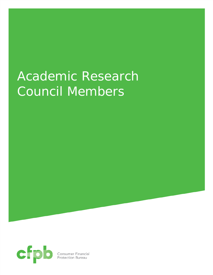## Academic Research Council Members



**Consumer Financial<br>Protection Bureau**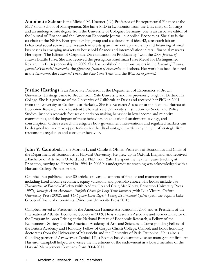**Antoinette Schoar** is the Michael M. Koerner (49') Professor of Entrepreneurial Finance at the MIT Sloan School of Management. She has a PhD in Economics from the University of Chicago and an undergraduate degree from the University of Cologne, Germany. She is an associate editor of the Journal of Finance and the American Economic Journal in Applied Economics. She also is the co-chair of the NBER Entrepreneurship group and a cofounder of ideas42, a research lab on behavioral social science. Her research interests span from entrepreneurship and financing of small businesses in emerging markets to household finance and intermediation in retail financial markets. Her paper "The Effects of Corporate Diversification on Productivity" won the 2003 *Journal of Finance* Brattle Prize. She also received the prestigious Kauffman Prize Medal for Distinguished Research in Entrepreneurship in 2009. She has published numerous papers in the *Journal of Finance*, *Journal of Financial Economics,* the *Quarterly Journal of Economics* and others. Her work has been featured in the *Economist,* the *Financial Times*, the *New York Times* and the *Wall Street Journal*.

**Justine Hastings** is an Associate Professor at the Department of Economics at Brown University. Hastings came to Brown from Yale University and has previously taught at Dartmouth College. She is a graduate of the University of California at Davis and received her PhD in 2001 from the University of California at Berkeley. She is a Research Associate at the National Bureau of Economic Research and a Resident Fellow at Yale University's Institution for Social and Policy Studies. Justine's research focuses on decision making behavior in low-income and minority communities, and the impact of these behaviors on educational attainment, savings, and consumption. Other research investigates how government interventions and regulated markets can be designed to maximize opportunities for the disadvantaged, particularly in light of strategic firm response to regulation and consumer behavior.

**John Y. Campbell** is the Morton L. and Carole S. Olshan Professor of Economics and Chair of the Department of Economics at Harvard University. He grew up in Oxford, England, and received a Bachelor of Arts from Oxford and a PhD from Yale. He spent the next ten years teaching at Princeton, moving to Harvard in 1994. In 2006 his undergraduate teaching was acknowledged with a Harvard College Professorship.

Campbell has published over 80 articles on various aspects of finance and macroeconomics, including fixed-income securities, equity valuation, and portfolio choice. His books include *The Econometrics of Financial Markets* (with Andrew Lo and Craig MacKinlay, Princeton University Press 1997), *Strategic Asset Allocation: Portfolio Choice for Long-Term Investors* (with Luis Viceira, Oxford University Press 2002), and *The Squam Lake Report: Fixing the Financial System* (with the Squam Lake Group of financial economists, Princeton University Press 2010).

Campbell served as President of the American Finance Association in 2005 and as President of the International Atlantic Economic Society in 2009. He is a Research Associate and former Director of the Program in Asset Pricing at the National Bureau of Economic Research, a Fellow of the Econometric Society and the American Academy of Arts and Sciences, a Corresponding Fellow of the British Academy and Honorary Fellow of Corpus Christi College, Oxford, and holds honorary doctorates from the University of Maastricht and the University of Paris Dauphine. He is also a founding partner of Arrowstreet Capital, LP, a Boston-based quantitative asset management firm. At Harvard, Campbell helped to oversee the investment of the endowment as a board member of the Harvard Management Company from 2004-2011.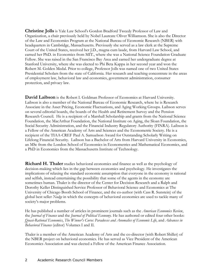**Christine Jolls** is Yale Law School's Gordon Bradford Tweedy Professor of Law and Organization, a chair previously held by Nobel Laureate Oliver Williamson. She is also the Director of the Law and Economics Program at the National Bureau of Economic Research (NBER) with headquarters in Cambridge, Massachusetts. Previously she served as a law clerk at the Supreme Court of the United States, received her J.D., magna cum laude, from Harvard Law School, and earned her PhD. in Economics from MIT., where she was a National Science Foundation Graduate Fellow. She was raised in the San Francisco Bay Area and earned her undergraduate degree at Stanford University, where she was elected to Phi Beta Kappa in her second year and won the Robert M. Golden Medal. Prior to college, Professor Jolls was named one of two United States Presidential Scholars from the state of California. Her research and teaching concentrate in the areas of employment law, behavioral law and economics, government administration, consumer protection, and privacy law.

**David Laibson** is the Robert I. Goldman Professor of Economics at Harvard University. Laibson is also a member of the National Bureau of Economic Research, where he is Research Associate in the Asset Pricing, Economic Fluctuations, and Aging Working Groups. Laibson serves on several editorial boards, the boards of the Health and Retirement Survey and the Pension Research Council. He is a recipient of a Marshall Scholarship and grants from the National Science Foundation, the MacArthur Foundation, the National Institute on Aging, the Sloan Foundation, the Social Security Administration, and the Financial Industry Regulatory Authority (FINRA). Laibson is a Fellow of the American Academy of Arts and Sciences and the Econometric Society. He is a recipient of the TIAA-CREF Paul A. Samuelson Award for Outstanding Scholarly Writing on Lifelong Financial Security. Laibson has a Bachelor of Arts from Harvard University in Economics, an MSc from the London School of Economics in Econometrics and Mathematical Economics, and a PhD in Economics from the Massachusetts Institute of Technology.

**Richard H. Thaler** studies behavioral economics and finance as well as the psychology of decision-making which lies in the gap between economics and psychology. He investigates the implications of relaxing the standard economic assumption that everyone in the economy is rational and selfish, instead entertaining the possibility that some of the agents in the economy are sometimes human. Thaler is the director of the Center for Decision Research and a Ralph and Dorothy Keller Distinguished Service Professor of Behavioral Science and Economics at The University of Chicago Booth School of Finance, and the co-author (with Cass R. Sunstein) of the global best seller *Nudge* in which the concepts of behavioral economics are used to tackle many of society's major problems.

He has published a number of articles in prominent journals such as the *American Economics Review*, the *Journal of Finance* and the *Journal of Political Economy*. He has authored or edited four other books: *Quasi-Rational Economics*, *The Winner's Curse: Paradoxes and Anomalies of Economic Life*, and *Advances in Behavioral Finance* (editor) Volumes I and II.

Thaler is a member of the American Academy of Arts and the co-director (with Robert Shiller) of the NBER project on behavioral economics. He has served as Vice President of the American Economics Association and was elected a Fellow of the American Finance Association.